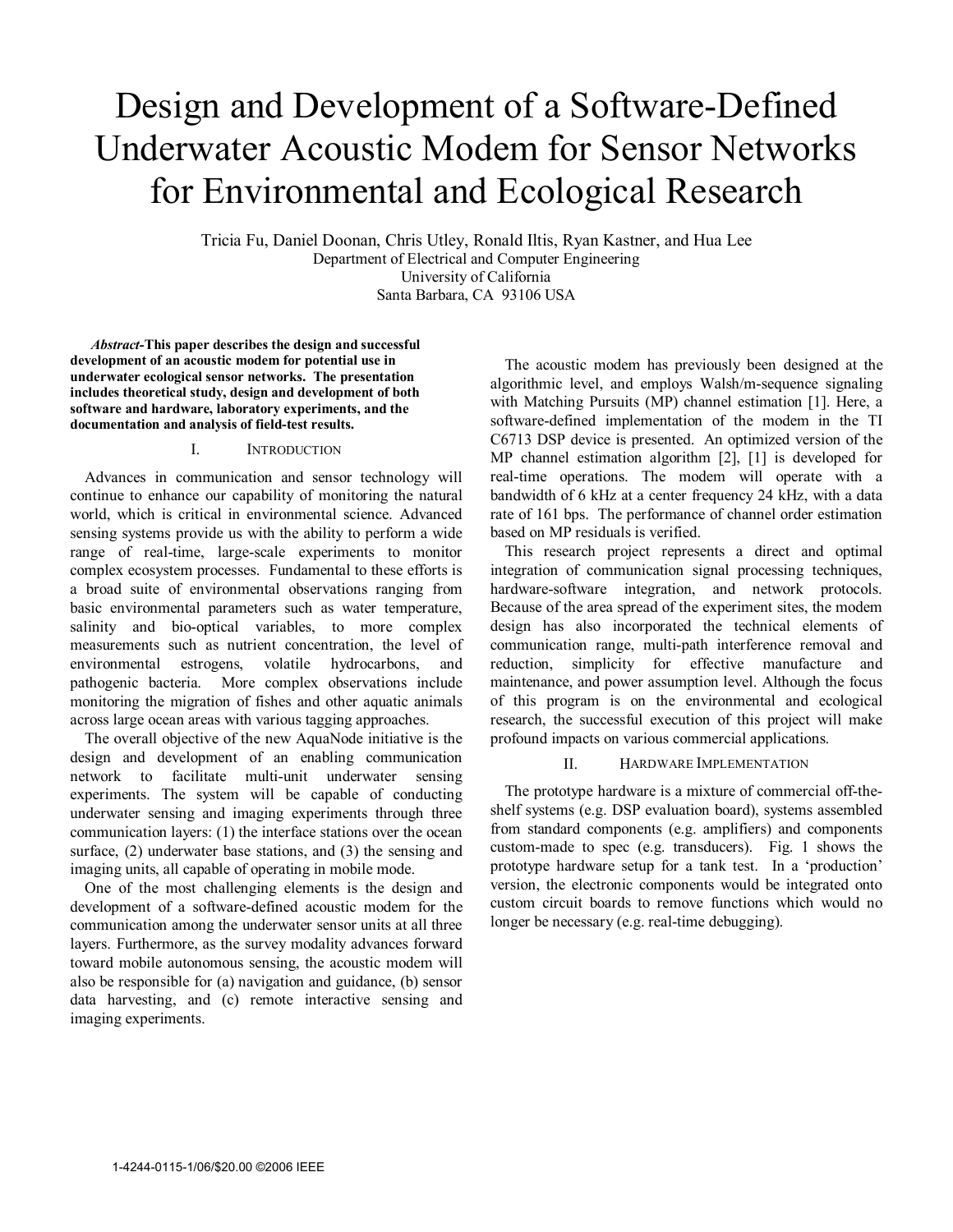# Design and Development of a Software-Defined Underwater Acoustic Modem for Sensor Networks for Environmental and Ecological Research

Tricia Fu, Daniel Doonan, Chris Utley, Ronald Iltis, Ryan Kastner, and Hua Lee Department of Electrical and Computer Engineering University of California Santa Barbara, CA 93106 USA

*Abstract-***This paper describes the design and successful development of an acoustic modem for potential use in underwater ecological sensor networks. The presentation includes theoretical study, design and development of both software and hardware, laboratory experiments, and the documentation and analysis of field-test results.** 

## I. INTRODUCTION

Advances in communication and sensor technology will continue to enhance our capability of monitoring the natural world, which is critical in environmental science. Advanced sensing systems provide us with the ability to perform a wide range of real-time, large-scale experiments to monitor complex ecosystem processes. Fundamental to these efforts is a broad suite of environmental observations ranging from basic environmental parameters such as water temperature, salinity and bio-optical variables, to more complex measurements such as nutrient concentration, the level of environmental estrogens, volatile hydrocarbons, and pathogenic bacteria. More complex observations include monitoring the migration of fishes and other aquatic animals across large ocean areas with various tagging approaches.

The overall objective of the new AquaNode initiative is the design and development of an enabling communication network to facilitate multi-unit underwater sensing experiments. The system will be capable of conducting underwater sensing and imaging experiments through three communication layers: (1) the interface stations over the ocean surface, (2) underwater base stations, and (3) the sensing and imaging units, all capable of operating in mobile mode.

One of the most challenging elements is the design and development of a software-defined acoustic modem for the communication among the underwater sensor units at all three layers. Furthermore, as the survey modality advances forward toward mobile autonomous sensing, the acoustic modem will also be responsible for (a) navigation and guidance, (b) sensor data harvesting, and (c) remote interactive sensing and imaging experiments.

The acoustic modem has previously been designed at the algorithmic level, and employs Walsh/m-sequence signaling with Matching Pursuits (MP) channel estimation [1]. Here, a software-defined implementation of the modem in the TI C6713 DSP device is presented. An optimized version of the MP channel estimation algorithm [2], [1] is developed for real-time operations. The modem will operate with a bandwidth of 6 kHz at a center frequency 24 kHz, with a data rate of 161 bps. The performance of channel order estimation based on MP residuals is verified.

This research project represents a direct and optimal integration of communication signal processing techniques, hardware-software integration, and network protocols. Because of the area spread of the experiment sites, the modem design has also incorporated the technical elements of communication range, multi-path interference removal and reduction, simplicity for effective manufacture and maintenance, and power assumption level. Although the focus of this program is on the environmental and ecological research, the successful execution of this project will make profound impacts on various commercial applications.

#### II. HARDWARE IMPLEMENTATION

The prototype hardware is a mixture of commercial off-theshelf systems (e.g. DSP evaluation board), systems assembled from standard components (e.g. amplifiers) and components custom-made to spec (e.g. transducers). Fig. 1 shows the prototype hardware setup for a tank test. In a 'production' version, the electronic components would be integrated onto custom circuit boards to remove functions which would no longer be necessary (e.g. real-time debugging).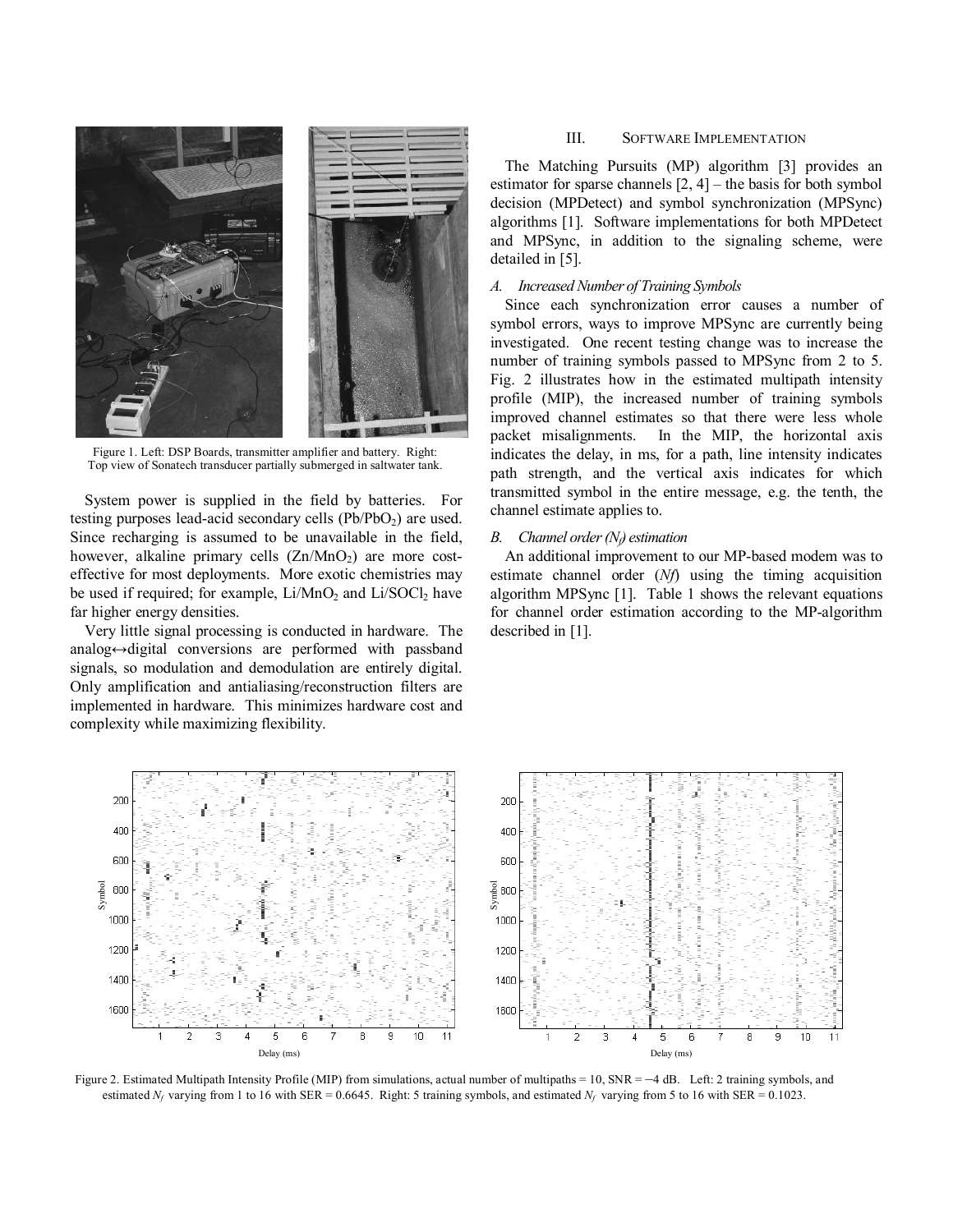

Figure 1. Left: DSP Boards, transmitter amplifier and battery. Right: Top view of Sonatech transducer partially submerged in saltwater tank.

System power is supplied in the field by batteries. For testing purposes lead-acid secondary cells  $(Pb/PbO<sub>2</sub>)$  are used. Since recharging is assumed to be unavailable in the field, however, alkaline primary cells  $(Zn/MnO<sub>2</sub>)$  are more costeffective for most deployments. More exotic chemistries may be used if required; for example, Li/MnO<sub>2</sub> and Li/SOCl<sub>2</sub> have far higher energy densities.

Very little signal processing is conducted in hardware. The analog↔digital conversions are performed with passband signals, so modulation and demodulation are entirely digital. Only amplification and antialiasing/reconstruction filters are implemented in hardware. This minimizes hardware cost and complexity while maximizing flexibility.

## III. SOFTWARE IMPLEMENTATION

The Matching Pursuits (MP) algorithm [3] provides an estimator for sparse channels  $[2, 4]$  – the basis for both symbol decision (MPDetect) and symbol synchronization (MPSync) algorithms [1]. Software implementations for both MPDetect and MPSync, in addition to the signaling scheme, were detailed in [5].

## *A. Increased Number of Training Symbols*

Since each synchronization error causes a number of symbol errors, ways to improve MPSync are currently being investigated. One recent testing change was to increase the number of training symbols passed to MPSync from 2 to 5. Fig. 2 illustrates how in the estimated multipath intensity profile (MIP), the increased number of training symbols improved channel estimates so that there were less whole packet misalignments. In the MIP, the horizontal axis indicates the delay, in ms, for a path, line intensity indicates path strength, and the vertical axis indicates for which transmitted symbol in the entire message, e.g. the tenth, the channel estimate applies to.

## *B. Channel order (N<sub>f</sub>) estimation*

An additional improvement to our MP-based modem was to estimate channel order (*Nf*) using the timing acquisition algorithm MPSync [1]. Table 1 shows the relevant equations for channel order estimation according to the MP-algorithm described in [1].



Figure 2. Estimated Multipath Intensity Profile (MIP) from simulations, actual number of multipaths = 10, SNR = -4 dB. Left: 2 training symbols, and estimated  $N_f$  varying from 1 to 16 with SER = 0.6645. Right: 5 training symbols, and estimated  $N_f$  varying from 5 to 16 with SER = 0.1023.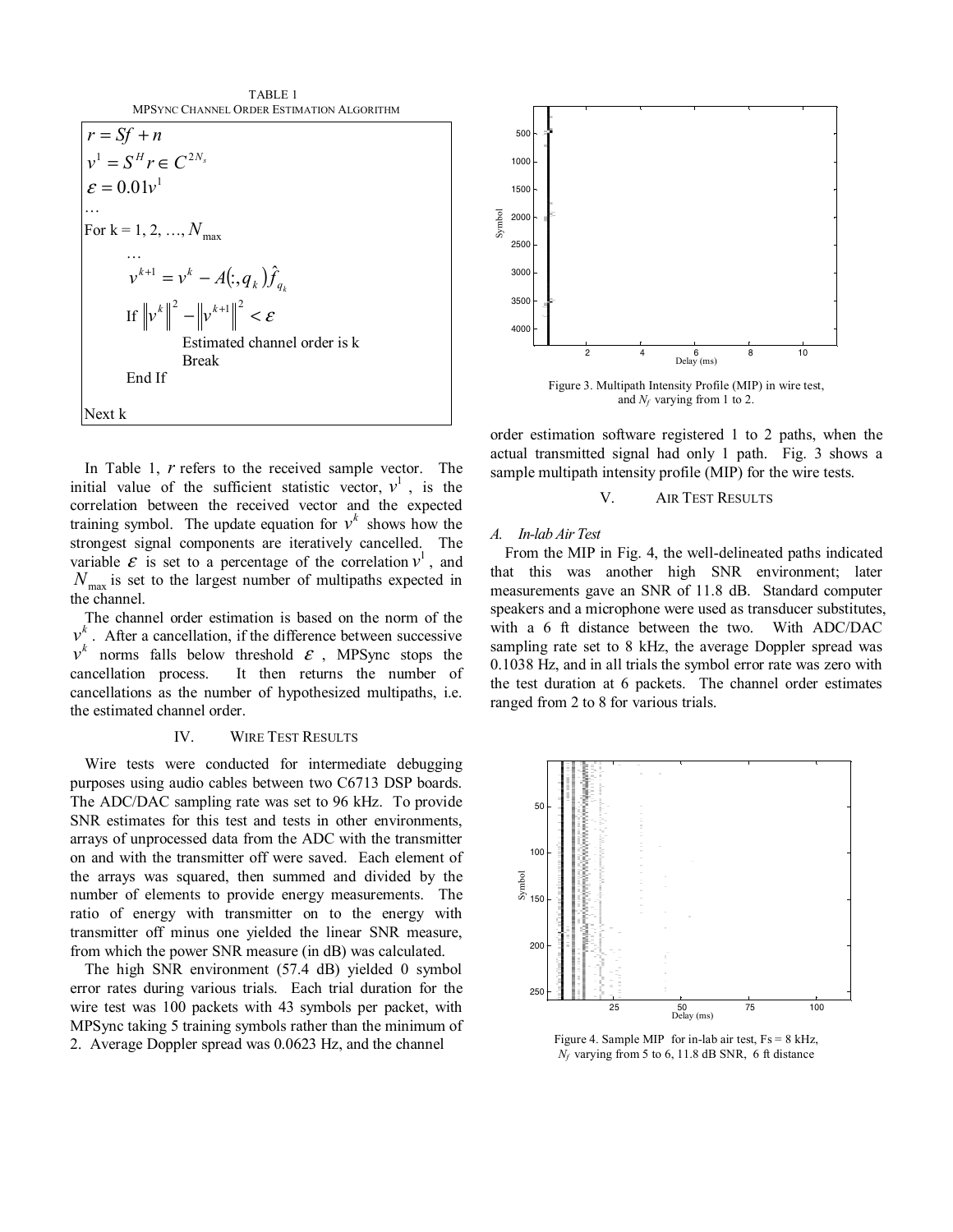

In Table 1, *r* refers to the received sample vector. The initial value of the sufficient statistic vector,  $v^1$ , is the correlation between the received vector and the expected training symbol. The update equation for  $v^k$  shows how the strongest signal components are iteratively cancelled. The variable  $\mathcal E$  is set to a percentage of the correlation  $v^1$ , and  $N_{\text{max}}$  is set to the largest number of multipaths expected in the channel.

The channel order estimation is based on the norm of the  $v<sup>k</sup>$ . After a cancellation, if the difference between successive  $v^k$  norms falls below threshold  $\varepsilon$ , MPSync stops the cancellation process. It then returns the number of cancellations as the number of hypothesized multipaths, i.e. the estimated channel order.

## IV. WIRE TEST RESULTS

Wire tests were conducted for intermediate debugging purposes using audio cables between two C6713 DSP boards. The ADC/DAC sampling rate was set to 96 kHz. To provide SNR estimates for this test and tests in other environments, arrays of unprocessed data from the ADC with the transmitter on and with the transmitter off were saved. Each element of the arrays was squared, then summed and divided by the number of elements to provide energy measurements. The ratio of energy with transmitter on to the energy with transmitter off minus one yielded the linear SNR measure, from which the power SNR measure (in dB) was calculated.

The high SNR environment (57.4 dB) yielded 0 symbol error rates during various trials. Each trial duration for the wire test was 100 packets with 43 symbols per packet, with MPSync taking 5 training symbols rather than the minimum of 2. Average Doppler spread was 0.0623 Hz, and the channel



and *Nf* varying from 1 to 2.

order estimation software registered 1 to 2 paths, when the actual transmitted signal had only 1 path. Fig. 3 shows a sample multipath intensity profile (MIP) for the wire tests.

## V. AIR TEST RESULTS

### *A. In-lab Air Test*

From the MIP in Fig. 4, the well-delineated paths indicated that this was another high SNR environment; later measurements gave an SNR of 11.8 dB. Standard computer speakers and a microphone were used as transducer substitutes, with a 6 ft distance between the two. With ADC/DAC sampling rate set to 8 kHz, the average Doppler spread was 0.1038 Hz, and in all trials the symbol error rate was zero with the test duration at 6 packets. The channel order estimates ranged from 2 to 8 for various trials.



Figure 4. Sample MIP for in-lab air test,  $Fs = 8 kHz$ , *Nf* varying from 5 to 6, 11.8 dB SNR, 6 ft distance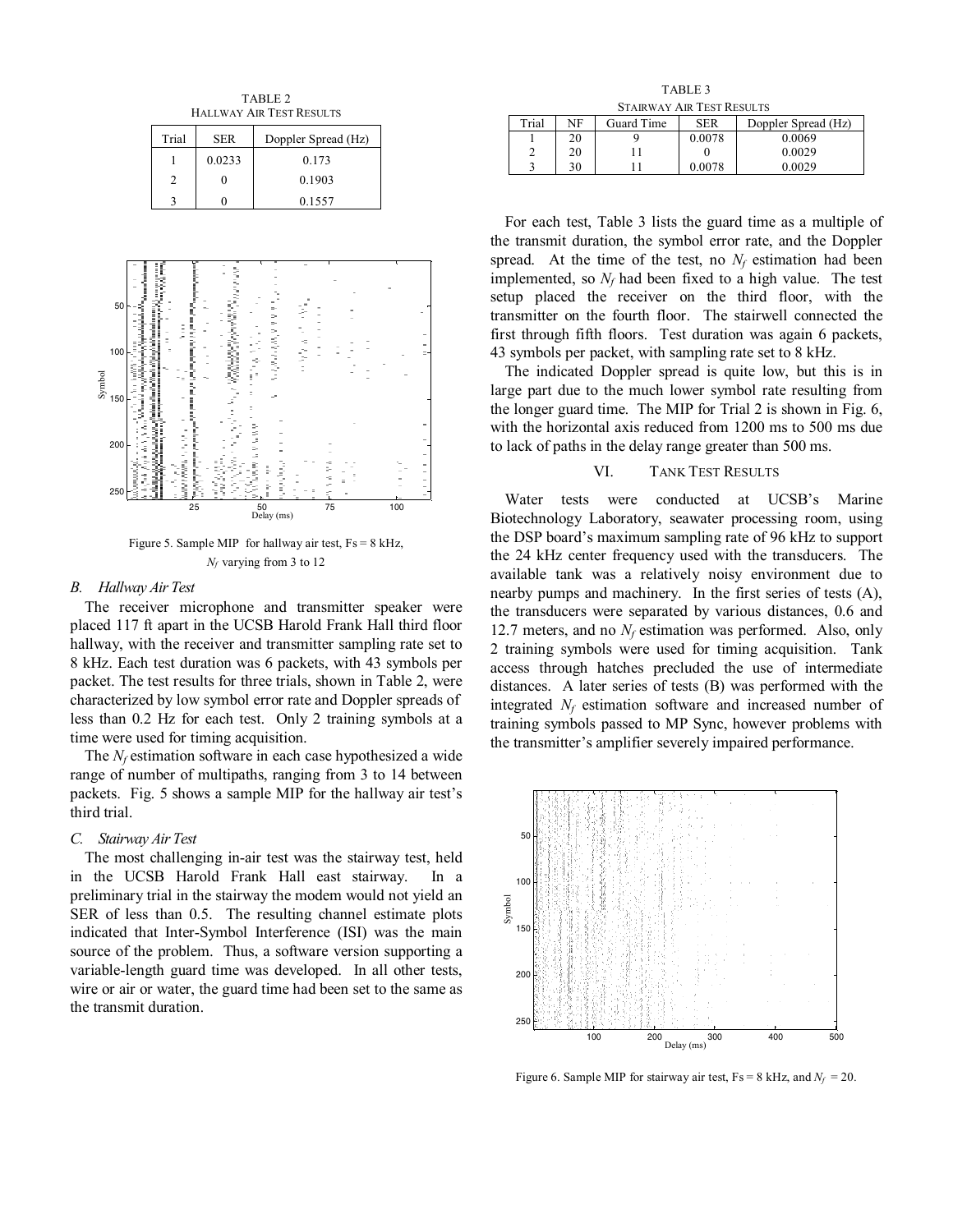TABLE 2 HALLWAY AIR TEST RESULTS

| Trial | <b>SER</b> | Doppler Spread (Hz) |
|-------|------------|---------------------|
|       | 0.0233     | 0.173               |
|       |            | 0.1903              |
|       |            | 0.1557              |



Figure 5. Sample MIP for hallway air test,  $Fs = 8 kHz$ , *Nf* varying from 3 to 12

#### *B. Hallway Air Test*

The receiver microphone and transmitter speaker were placed 117 ft apart in the UCSB Harold Frank Hall third floor hallway, with the receiver and transmitter sampling rate set to 8 kHz. Each test duration was 6 packets, with 43 symbols per packet. The test results for three trials, shown in Table 2, were characterized by low symbol error rate and Doppler spreads of less than 0.2 Hz for each test. Only 2 training symbols at a time were used for timing acquisition.

The *N<sub>f</sub>* estimation software in each case hypothesized a wide range of number of multipaths, ranging from 3 to 14 between packets. Fig. 5 shows a sample MIP for the hallway air test's third trial.

## *C. Stairway Air Test*

The most challenging in-air test was the stairway test, held in the UCSB Harold Frank Hall east stairway. In a preliminary trial in the stairway the modem would not yield an SER of less than 0.5. The resulting channel estimate plots indicated that Inter-Symbol Interference (ISI) was the main source of the problem. Thus, a software version supporting a variable-length guard time was developed. In all other tests, wire or air or water, the guard time had been set to the same as the transmit duration.

TABLE 3 STAIRWAY AIR TEST RESULTS

|       |    | Guard Time<br>Doppler Spread (Hz)<br><b>SER</b> |        |        |  |
|-------|----|-------------------------------------------------|--------|--------|--|
| Trial | NF |                                                 |        |        |  |
|       | 20 |                                                 | 0.0078 | 0.0069 |  |
| ◠     | 20 |                                                 |        | 0.0029 |  |
| ◠     | 30 |                                                 | 0.0078 | 0.0029 |  |

For each test, Table 3 lists the guard time as a multiple of the transmit duration, the symbol error rate, and the Doppler spread. At the time of the test, no  $N_f$  estimation had been implemented, so  $N_f$  had been fixed to a high value. The test setup placed the receiver on the third floor, with the transmitter on the fourth floor. The stairwell connected the first through fifth floors. Test duration was again 6 packets, 43 symbols per packet, with sampling rate set to 8 kHz.

The indicated Doppler spread is quite low, but this is in large part due to the much lower symbol rate resulting from the longer guard time. The MIP for Trial 2 is shown in Fig. 6, with the horizontal axis reduced from 1200 ms to 500 ms due to lack of paths in the delay range greater than 500 ms.

## VI. TANK TEST RESULTS

Water tests were conducted at UCSB's Marine Biotechnology Laboratory, seawater processing room, using the DSP board's maximum sampling rate of 96 kHz to support the 24 kHz center frequency used with the transducers. The available tank was a relatively noisy environment due to nearby pumps and machinery. In the first series of tests (A), the transducers were separated by various distances, 0.6 and 12.7 meters, and no  $N_f$  estimation was performed. Also, only 2 training symbols were used for timing acquisition. Tank access through hatches precluded the use of intermediate distances. A later series of tests (B) was performed with the integrated  $N_f$  estimation software and increased number of training symbols passed to MP Sync, however problems with the transmitter's amplifier severely impaired performance.



Figure 6. Sample MIP for stairway air test,  $Fs = 8 kHz$ , and  $N_f = 20$ .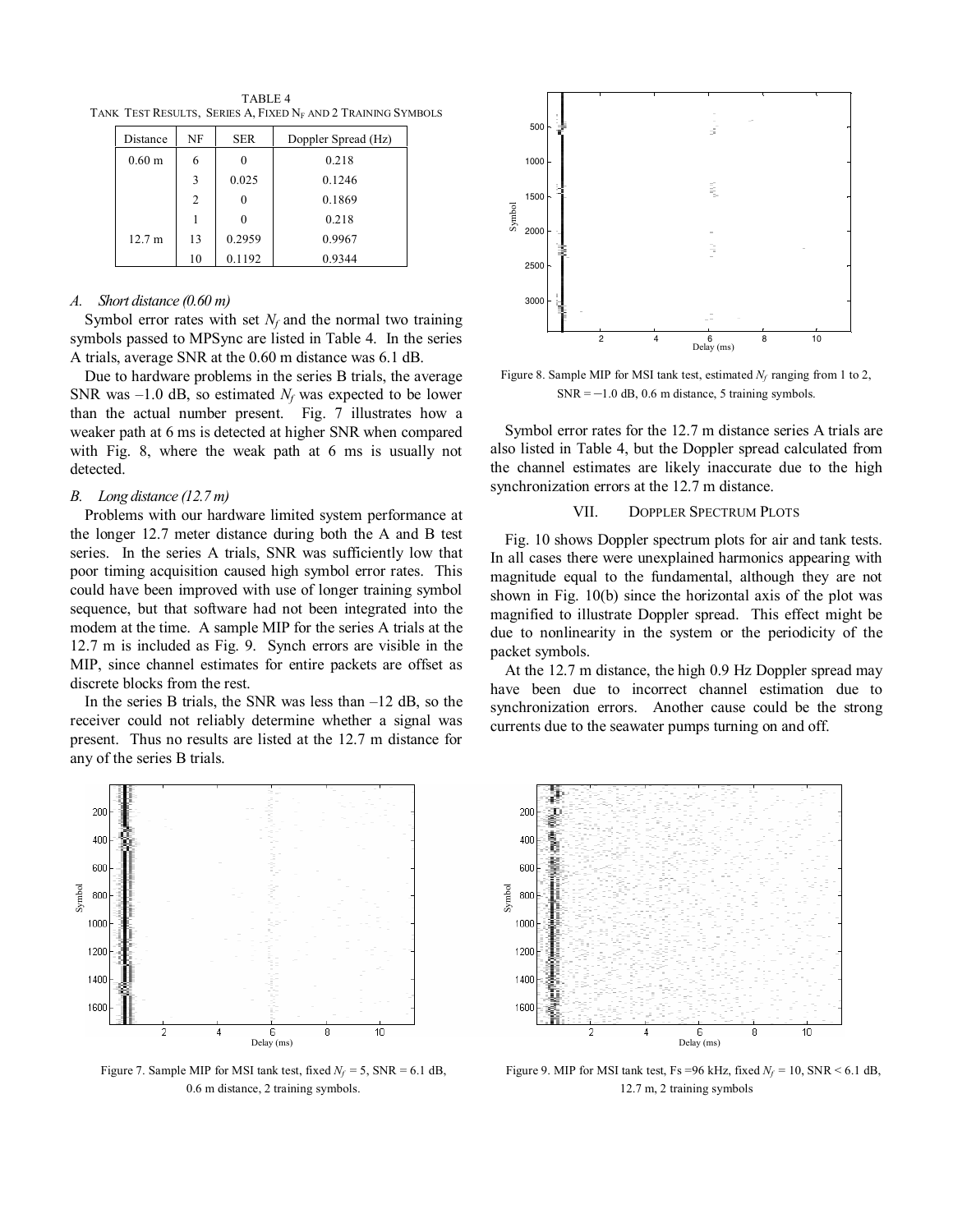TABLE 4 TANK TEST RESULTS, SERIES A, FIXED NF AND 2 TRAINING SYMBOLS

| Distance          | NF | <b>SER</b> | Doppler Spread (Hz) |
|-------------------|----|------------|---------------------|
| 0.60 <sub>m</sub> | 6  |            | 0.218               |
|                   | 3  | 0.025      | 0.1246              |
|                   | 2  |            | 0.1869              |
|                   |    |            | 0.218               |
| 12.7 m            | 13 | 0.2959     | 0.9967              |
|                   | 10 | 0.1192     | 0.9344              |

## *A. Short distance (0.60 m)*

Symbol error rates with set  $N_f$  and the normal two training symbols passed to MPSync are listed in Table 4. In the series A trials, average SNR at the 0.60 m distance was 6.1 dB.

Due to hardware problems in the series B trials, the average SNR was  $-1.0$  dB, so estimated  $N_f$  was expected to be lower than the actual number present. Fig. 7 illustrates how a weaker path at 6 ms is detected at higher SNR when compared with Fig. 8, where the weak path at 6 ms is usually not detected.

## *B. Long distance (12.7 m)*

Problems with our hardware limited system performance at the longer 12.7 meter distance during both the A and B test series. In the series A trials, SNR was sufficiently low that poor timing acquisition caused high symbol error rates. This could have been improved with use of longer training symbol sequence, but that software had not been integrated into the modem at the time. A sample MIP for the series A trials at the 12.7 m is included as Fig. 9. Synch errors are visible in the MIP, since channel estimates for entire packets are offset as discrete blocks from the rest.

In the series B trials, the SNR was less than  $-12$  dB, so the receiver could not reliably determine whether a signal was present. Thus no results are listed at the 12.7 m distance for any of the series B trials.



Figure 7. Sample MIP for MSI tank test, fixed  $N_f = 5$ , SNR = 6.1 dB, 0.6 m distance, 2 training symbols.



Figure 8. Sample MIP for MSI tank test, estimated  $N_f$  ranging from 1 to 2,  $SNR = -1.0$  dB, 0.6 m distance, 5 training symbols.

Symbol error rates for the 12.7 m distance series A trials are also listed in Table 4, but the Doppler spread calculated from the channel estimates are likely inaccurate due to the high synchronization errors at the 12.7 m distance.

### VII. DOPPLER SPECTRUM PLOTS

Fig. 10 shows Doppler spectrum plots for air and tank tests. In all cases there were unexplained harmonics appearing with magnitude equal to the fundamental, although they are not shown in Fig. 10(b) since the horizontal axis of the plot was magnified to illustrate Doppler spread. This effect might be due to nonlinearity in the system or the periodicity of the packet symbols.

At the 12.7 m distance, the high 0.9 Hz Doppler spread may have been due to incorrect channel estimation due to synchronization errors. Another cause could be the strong currents due to the seawater pumps turning on and off.



Figure 9. MIP for MSI tank test, Fs = 96 kHz, fixed  $N_f = 10$ , SNR < 6.1 dB, 12.7 m, 2 training symbols